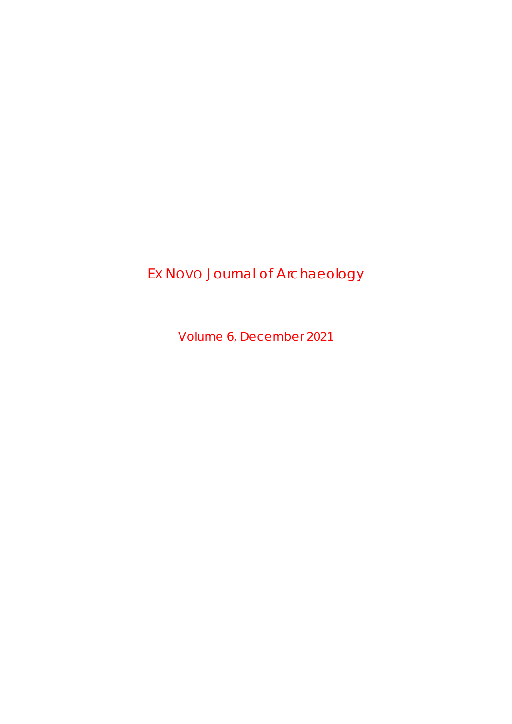# EX NOVO Journal of Archaeology

Volume 6, December 2021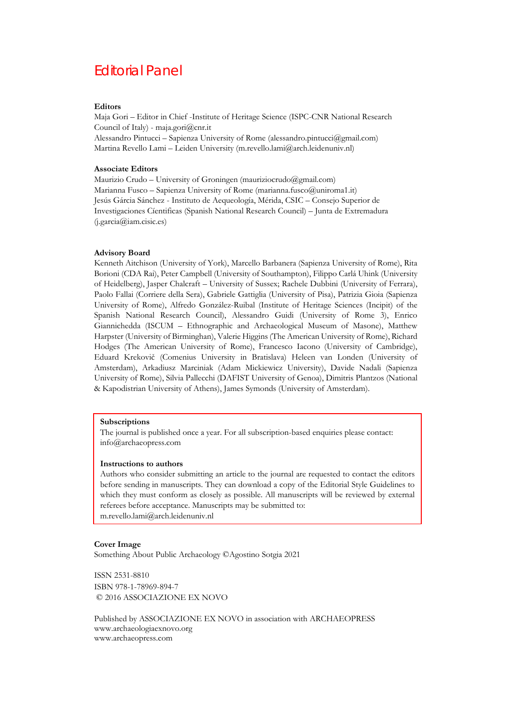## Editorial Panel

### **Editors**

Maja Gori – Editor in Chief -Institute of Heritage Science (ISPC-CNR National Research Council of Italy) - maja.gori@cnr.it Alessandro Pintucci – Sapienza University of Rome (alessandro.pintucci@gmail.com)

Martina Revello Lami – Leiden University (m.revello.lami@arch.leidenuniv.nl)

#### **Associate Editors**

Maurizio Crudo – University of Groningen (mauriziocrudo@gmail.com) Marianna Fusco – Sapienza University of Rome (marianna.fusco@uniroma1.it) Jesús Gárcia Sánchez - Instituto de Aequeología, Mérida, CSIC – Consejo Superior de Investigaciones Cíentificas (Spanish National Research Council) – Junta de Extremadura  $(i. garcia@iam.cisic.es)$ 

#### **Advisory Board**

Kenneth Aitchison (University of York), Marcello Barbanera (Sapienza University of Rome), Rita Borioni (CDA Rai), Peter Campbell (University of Southampton), Filippo Carlá Uhink (University of Heidelberg), Jasper Chalcraft – University of Sussex; Rachele Dubbini (University of Ferrara), Paolo Fallai (Corriere della Sera), Gabriele Gattiglia (University of Pisa), Patrizia Gioia (Sapienza University of Rome), Alfredo González-Ruibal (Institute of Heritage Sciences (Incipit) of the Spanish National Research Council), Alessandro Guidi (University of Rome 3), Enrico Giannichedda (ISCUM – Ethnographic and Archaeological Museum of Masone), Matthew Harpster (University of Birminghan), Valerie Higgins (The American University of Rome), Richard Hodges (The American University of Rome), Francesco Iacono (University of Cambridge), Eduard Krekovič (Comenius University in Bratislava) Heleen van Londen (University of Amsterdam), Arkadiusz Marciniak (Adam Mickiewicz University), Davide Nadali (Sapienza University of Rome), Silvia Pallecchi (DAFIST University of Genoa), Dimitris Plantzos (National & Kapodistrian University of Athens), James Symonds (University of Amsterdam).

#### **Subscriptions**

The journal is published once a year. For all subscription-based enquiries please contact: info@archaeopress.com

#### **Instructions to authors**

Authors who consider submitting an article to the journal are requested to contact the editors before sending in manuscripts. They can download a copy of the Editorial Style Guidelines to which they must conform as closely as possible. All manuscripts will be reviewed by external referees before acceptance. Manuscripts may be submitted to: m.revello.lami@arch.leidenuniv.nl

#### **Cover Image**

Something About Public Archaeology ©Agostino Sotgia 2021

ISSN 2531-8810 ISBN 978-1-78969-894-7 © 2016 ASSOCIAZIONE EX NOVO

Published by ASSOCIAZIONE EX NOVO in association with ARCHAEOPRESS www.archaeologiaexnovo.org www.archaeopress.com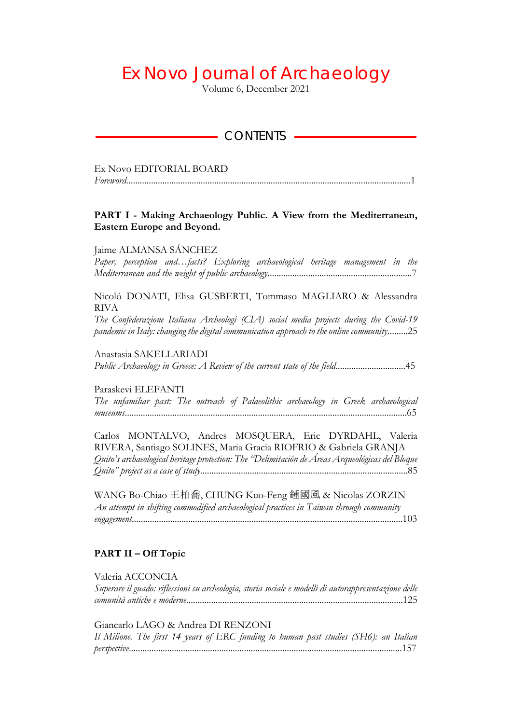# Ex Novo Journal of Archaeology

Volume 6, December 2021

| —— CONTENTS                                                                                                                                                                                                                                                       |
|-------------------------------------------------------------------------------------------------------------------------------------------------------------------------------------------------------------------------------------------------------------------|
| Ex Novo EDITORIAL BOARD                                                                                                                                                                                                                                           |
| PART I - Making Archaeology Public. A View from the Mediterranean,<br>Eastern Europe and Beyond.                                                                                                                                                                  |
| Jaime ALMANSA SÁNCHEZ<br>Paper, perception andfacts? Exploring archaeological heritage management in the                                                                                                                                                          |
| Nicoló DONATI, Elisa GUSBERTI, Tommaso MAGLIARO & Alessandra<br><b>RIVA</b><br>The Confederazione Italiana Archeologi (CIA) social media projects during the Covid-19<br>pandemic in Italy: changing the digital communication approach to the online community25 |
| Anastasia SAKELLARIADI<br>Public Archaeology in Greece: A Review of the current state of the field45                                                                                                                                                              |
| Paraskevi ELEFANTI<br>The unfamiliar past: The outreach of Palaeolithic archaeology in Greek archaeological                                                                                                                                                       |
| MONTALVO, Andres MOSQUERA, Eric DYRDAHL, Valeria<br>Carlos<br>RIVERA, Santiago SOLINES, Maria Gracia RIOFRIO & Gabriela GRANJA<br>Quito's archaeological heritage protection: The 'Delimitación de Áreas Arqueológicas del Bloque                                 |
| WANG Bo-Chiao 王柏喬, CHUNG Kuo-Feng 鍾國風 & Nicolas ZORZIN<br>An attempt in shifting commodified archaeological practices in Taiwan through community                                                                                                                 |
| <b>PART II - Off Topic</b>                                                                                                                                                                                                                                        |
| Valeria ACCONCIA                                                                                                                                                                                                                                                  |

*Superare il guado: riflessioni su archeologia, storia sociale e modelli di autorappresentazione delle comunità antiche e moderne*................................................................................................125

Giancarlo LAGO & Andrea DI RENZONI

| Il Milione. The first 14 years of ERC funding to human past studies (SH6): an Italian |  |  |  |  |  |
|---------------------------------------------------------------------------------------|--|--|--|--|--|
|                                                                                       |  |  |  |  |  |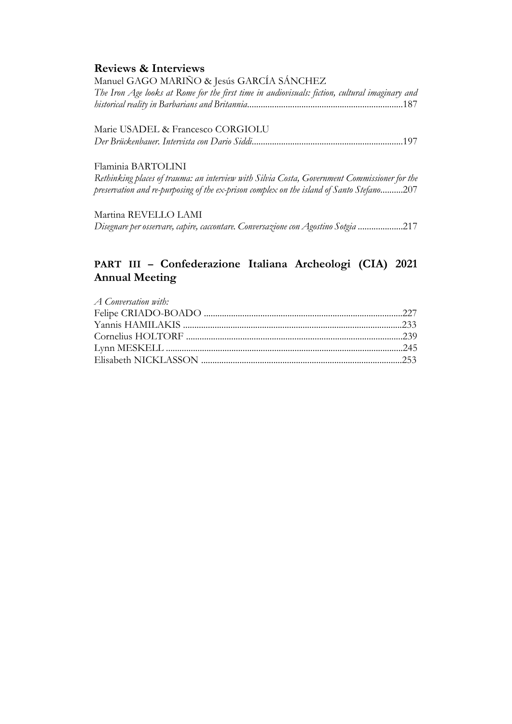## **Reviews & Interviews**

| Manuel GAGO MARIÑO & Jesús GARCÍA SÁNCHEZ                                                      |  |
|------------------------------------------------------------------------------------------------|--|
| The Iron Age looks at Rome for the first time in audiovisuals: fiction, cultural imaginary and |  |
|                                                                                                |  |

## Marie USADEL & Francesco CORGIOLU *Der Brückenbauer. Intervista con Dario Siddi*...................................................................197

## Flaminia BARTOLINI

*Rethinking places of trauma: an interview with Silvia Costa, Government Commissioner for the preservation and re-purposing of the ex-prison complex on the island of Santo Stefano*..........207

Martina REVELLO LAMI

*Disegnare per osservare, capire, caccontare. Conversazione con Agostino Sotgia* ....................217

## **PART III – Confederazione Italiana Archeologi (CIA) 2021 Annual Meeting**

## *A Conversation with:* Felipe CRIADO-BOADO ........................................................................................227 Yannis HAMILAKIS .................................................................................................233 Cornelius HOLTORF ................................................................................................239 Lynn MESKELL .........................................................................................................245 Elisabeth NICKLASSON .........................................................................................253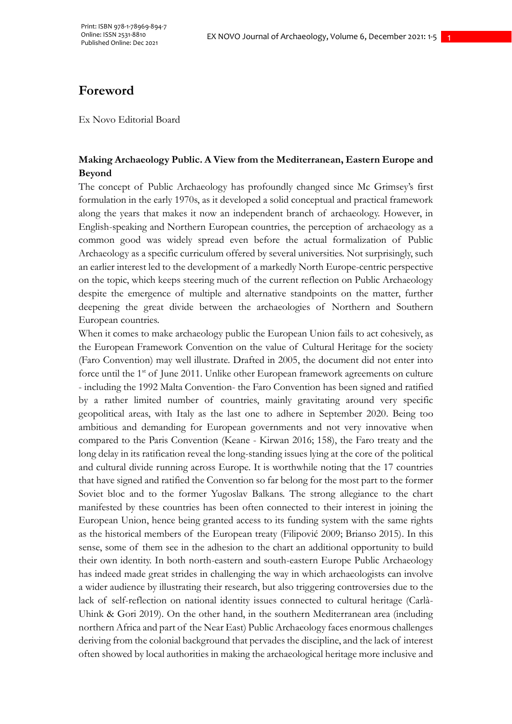## <span id="page-6-0"></span>**Foreword**

Ex Novo Editorial Board

## **Making Archaeology Public. A View from the Mediterranean, Eastern Europe and Beyond**

The concept of Public Archaeology has profoundly changed since Mc Grimsey's first formulation in the early 1970s, as it developed a solid conceptual and practical framework along the years that makes it now an independent branch of archaeology. However, in English-speaking and Northern European countries, the perception of archaeology as a common good was widely spread even before the actual formalization of Public Archaeology as a specific curriculum offered by several universities. Not surprisingly, such an earlier interest led to the development of a markedly North Europe-centric perspective on the topic, which keeps steering much of the current reflection on Public Archaeology despite the emergence of multiple and alternative standpoints on the matter, further deepening the great divide between the archaeologies of Northern and Southern European countries.

When it comes to make archaeology public the European Union fails to act cohesively, as the European Framework Convention on the value of Cultural Heritage for the society (Faro Convention) may well illustrate. Drafted in 2005, the document did not enter into force until the 1<sup>st</sup> of June 2011. Unlike other European framework agreements on culture - including the 1992 Malta Convention- the Faro Convention has been signed and ratified by a rather limited number of countries, mainly gravitating around very specific geopolitical areas, with Italy as the last one to adhere in September 2020. Being too ambitious and demanding for European governments and not very innovative when compared to the Paris Convention (Keane - Kirwan 2016; 158), the Faro treaty and the long delay in its ratification reveal the long-standing issues lying at the core of the political and cultural divide running across Europe. It is worthwhile noting that the 17 countries that have signed and ratified the Convention so far belong for the most part to the former Soviet bloc and to the former Yugoslav Balkans. The strong allegiance to the chart manifested by these countries has been often connected to their interest in joining the European Union, hence being granted access to its funding system with the same rights as the historical members of the European treaty (Filipović 2009; Brianso 2015). In this sense, some of them see in the adhesion to the chart an additional opportunity to build their own identity. In both north-eastern and south-eastern Europe Public Archaeology has indeed made great strides in challenging the way in which archaeologists can involve a wider audience by illustrating their research, but also triggering controversies due to the lack of self-reflection on national identity issues connected to cultural heritage (Carlà-Uhink & Gori 2019). On the other hand, in the southern Mediterranean area (including northern Africa and part of the Near East) Public Archaeology faces enormous challenges deriving from the colonial background that pervades the discipline, and the lack of interest often showed by local authorities in making the archaeological heritage more inclusive and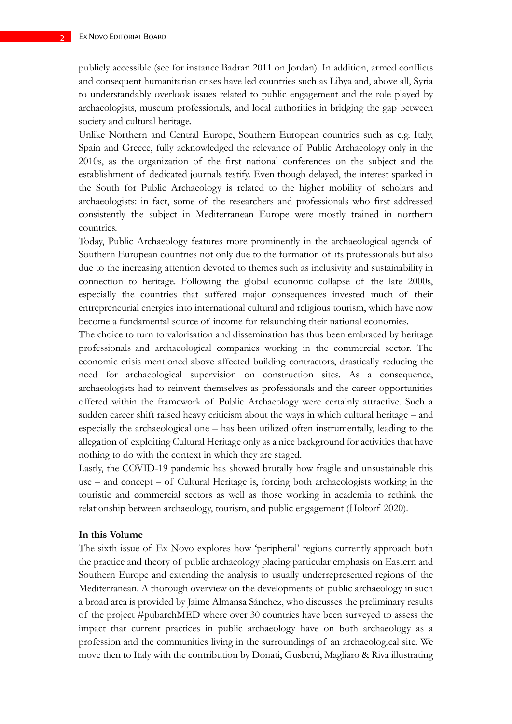publicly accessible (see for instance Badran 2011 on Jordan). In addition, armed conflicts and consequent humanitarian crises have led countries such as Libya and, above all, Syria to understandably overlook issues related to public engagement and the role played by archaeologists, museum professionals, and local authorities in bridging the gap between society and cultural heritage.

Unlike Northern and Central Europe, Southern European countries such as e.g. Italy, Spain and Greece, fully acknowledged the relevance of Public Archaeology only in the 2010s, as the organization of the first national conferences on the subject and the establishment of dedicated journals testify. Even though delayed, the interest sparked in the South for Public Archaeology is related to the higher mobility of scholars and archaeologists: in fact, some of the researchers and professionals who first addressed consistently the subject in Mediterranean Europe were mostly trained in northern countries.

Today, Public Archaeology features more prominently in the archaeological agenda of Southern European countries not only due to the formation of its professionals but also due to the increasing attention devoted to themes such as inclusivity and sustainability in connection to heritage. Following the global economic collapse of the late 2000s, especially the countries that suffered major consequences invested much of their entrepreneurial energies into international cultural and religious tourism, which have now become a fundamental source of income for relaunching their national economies.

The choice to turn to valorisation and dissemination has thus been embraced by heritage professionals and archaeological companies working in the commercial sector. The economic crisis mentioned above affected building contractors, drastically reducing the need for archaeological supervision on construction sites. As a consequence, archaeologists had to reinvent themselves as professionals and the career opportunities offered within the framework of Public Archaeology were certainly attractive. Such a sudden career shift raised heavy criticism about the ways in which cultural heritage – and especially the archaeological one – has been utilized often instrumentally, leading to the allegation of exploiting Cultural Heritage only as a nice background for activities that have nothing to do with the context in which they are staged.

Lastly, the COVID-19 pandemic has showed brutally how fragile and unsustainable this use – and concept – of Cultural Heritage is, forcing both archaeologists working in the touristic and commercial sectors as well as those working in academia to rethink the relationship between archaeology, tourism, and public engagement (Holtorf 2020).

### **In this Volume**

The sixth issue of Ex Novo explores how 'peripheral' regions currently approach both the practice and theory of public archaeology placing particular emphasis on Eastern and Southern Europe and extending the analysis to usually underrepresented regions of the Mediterranean. A thorough overview on the developments of public archaeology in such a broad area is provided by Jaime Almansa Sánchez, who discusses the preliminary results of the project #pubarchMED where over 30 countries have been surveyed to assess the impact that current practices in public archaeology have on both archaeology as a profession and the communities living in the surroundings of an archaeological site. We move then to Italy with the contribution by Donati, Gusberti, Magliaro & Riva illustrating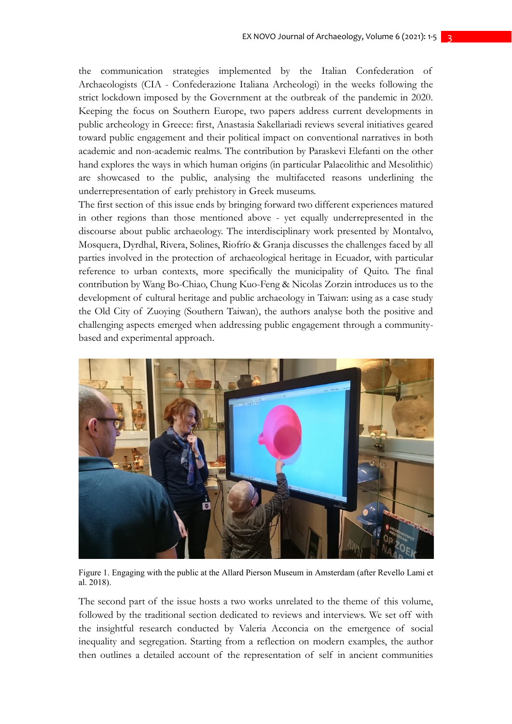the communication strategies implemented by the Italian Confederation of Archaeologists (CIA - Confederazione Italiana Archeologi) in the weeks following the strict lockdown imposed by the Government at the outbreak of the pandemic in 2020. Keeping the focus on Southern Europe, two papers address current developments in public archeology in Greece: first, Anastasia Sakellariadi reviews several initiatives geared toward public engagement and their political impact on conventional narratives in both academic and non-academic realms. The contribution by Paraskevi Elefanti on the other hand explores the ways in which human origins (in particular Palaeolithic and Mesolithic) are showcased to the public, analysing the multifaceted reasons underlining the underrepresentation of early prehistory in Greek museums.

The first section of this issue ends by bringing forward two different experiences matured in other regions than those mentioned above - yet equally underrepresented in the discourse about public archaeology. The interdisciplinary work presented by Montalvo, Mosquera, Dyrdhal, Rivera, Solines, Riofrío & Granja discusses the challenges faced by all parties involved in the protection of archaeological heritage in Ecuador, with particular reference to urban contexts, more specifically the municipality of Quito. The final contribution by Wang Bo-Chiao, Chung Kuo-Feng & Nicolas Zorzin introduces us to the development of cultural heritage and public archaeology in Taiwan: using as a case study the Old City of Zuoying (Southern Taiwan), the authors analyse both the positive and challenging aspects emerged when addressing public engagement through a communitybased and experimental approach.



Figure 1. Engaging with the public at the Allard Pierson Museum in Amsterdam (after Revello Lami et al. 2018).

The second part of the issue hosts a two works unrelated to the theme of this volume, followed by the traditional section dedicated to reviews and interviews. We set off with the insightful research conducted by Valeria Acconcia on the emergence of social inequality and segregation. Starting from a reflection on modern examples, the author then outlines a detailed account of the representation of self in ancient communities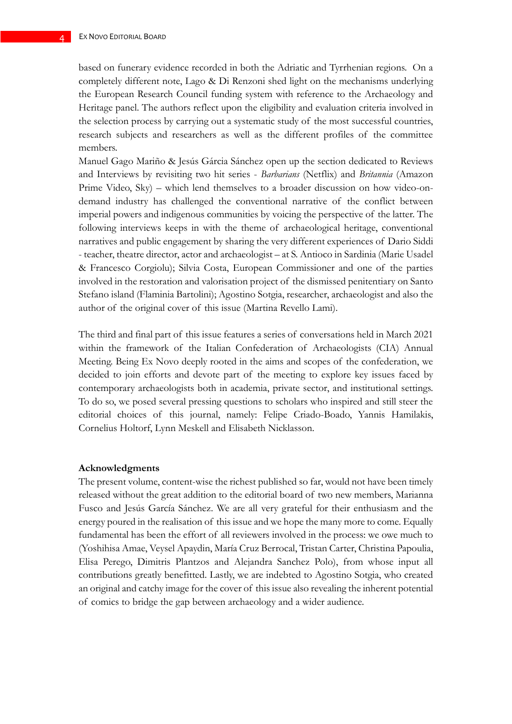based on funerary evidence recorded in both the Adriatic and Tyrrhenian regions. On a completely different note, Lago & Di Renzoni shed light on the mechanisms underlying the European Research Council funding system with reference to the Archaeology and Heritage panel. The authors reflect upon the eligibility and evaluation criteria involved in the selection process by carrying out a systematic study of the most successful countries, research subjects and researchers as well as the different profiles of the committee members.

Manuel Gago Mariño & Jesús Gárcia Sánchez open up the section dedicated to Reviews and Interviews by revisiting two hit series - *Barbarians* (Netflix) and *Britannia* (Amazon Prime Video, Sky) – which lend themselves to a broader discussion on how video-ondemand industry has challenged the conventional narrative of the conflict between imperial powers and indigenous communities by voicing the perspective of the latter. The following interviews keeps in with the theme of archaeological heritage, conventional narratives and public engagement by sharing the very different experiences of Dario Siddi - teacher, theatre director, actor and archaeologist – at S. Antioco in Sardinia (Marie Usadel & Francesco Corgiolu); Silvia Costa, European Commissioner and one of the parties involved in the restoration and valorisation project of the dismissed penitentiary on Santo Stefano island (Flaminia Bartolini); Agostino Sotgia, researcher, archaeologist and also the author of the original cover of this issue (Martina Revello Lami).

The third and final part of this issue features a series of conversations held in March 2021 within the framework of the Italian Confederation of Archaeologists (CIA) Annual Meeting. Being Ex Novo deeply rooted in the aims and scopes of the confederation, we decided to join efforts and devote part of the meeting to explore key issues faced by contemporary archaeologists both in academia, private sector, and institutional settings. To do so, we posed several pressing questions to scholars who inspired and still steer the editorial choices of this journal, namely: Felipe Criado-Boado, Yannis Hamilakis, Cornelius Holtorf, Lynn Meskell and Elisabeth Nicklasson.

## **Acknowledgments**

The present volume, content-wise the richest published so far, would not have been timely released without the great addition to the editorial board of two new members, Marianna Fusco and Jesús García Sánchez. We are all very grateful for their enthusiasm and the energy poured in the realisation of this issue and we hope the many more to come. Equally fundamental has been the effort of all reviewers involved in the process: we owe much to (Yoshihisa Amae, Veysel Apaydin, María Cruz Berrocal, Tristan Carter, Christina Papoulia, Elisa Perego, Dimitris Plantzos and Alejandra Sanchez Polo), from whose input all contributions greatly benefitted. Lastly, we are indebted to Agostino Sotgia, who created an original and catchy image for the cover of this issue also revealing the inherent potential of comics to bridge the gap between archaeology and a wider audience.